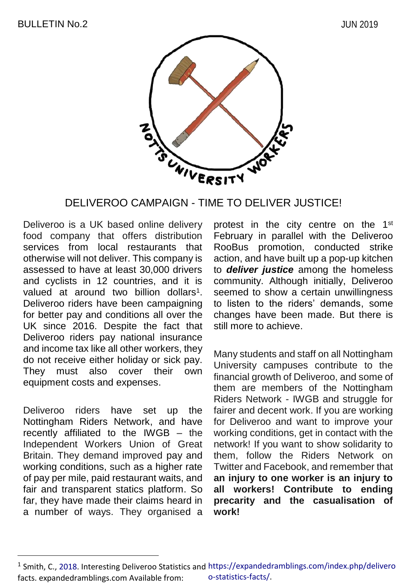

#### DELIVEROO CAMPAIGN - TIME TO DELIVER JUSTICE!

Deliveroo is a UK based online delivery food company that offers distribution services from local restaurants that otherwise will not deliver. This company is assessed to have at least 30,000 drivers and cyclists in 12 countries, and it is valued at around two billion dollars<sup>1</sup>. Deliveroo riders have been campaigning for better pay and conditions all over the UK since 2016. Despite the fact that Deliveroo riders pay national insurance and income tax like all other workers, they do not receive either holiday or sick pay. They must also cover their own equipment costs and expenses.

Deliveroo riders have set up the Nottingham Riders Network, and have recently affiliated to the IWGB – the Independent Workers Union of Great Britain. They demand improved pay and working conditions, such as a higher rate of pay per mile, paid restaurant waits, and fair and transparent statics platform. So far, they have made their claims heard in a number of ways. They organised a

 $\overline{a}$ 

protest in the city centre on the 1<sup>st</sup> February in parallel with the Deliveroo RooBus promotion, conducted strike action, and have built up a pop-up kitchen to *deliver justice* among the homeless community. Although initially, Deliveroo seemed to show a certain unwillingness to listen to the riders' demands, some changes have been made. But there is still more to achieve.

Many students and staff on all Nottingham University campuses contribute to the financial growth of Deliveroo, and some of them are members of the Nottingham Riders Network - IWGB and struggle for fairer and decent work. If you are working for Deliveroo and want to improve your working conditions, get in contact with the network! If you want to show solidarity to them, follow the Riders Network on Twitter and Facebook, and remember that **an injury to one worker is an injury to all workers! Contribute to ending precarity and the casualisation of work!**

<sup>&</sup>lt;sup>1</sup> Smith, C., 2018. Interesting Deliveroo Statistics and https://expandedramblings.com/index.php/delivero facts. expandedramblings.com Available from: o-statistics-facts/.